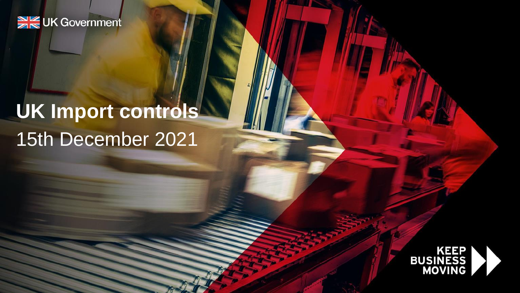### **SK UK Government**

# 15th December 2021 **UK Import controls**

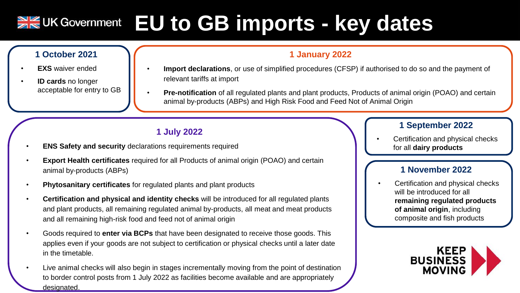### **EU to GB imports - key dates**  $\frac{N}{Z}$  UK Government

#### **1 October 2021**

- **EXS** waiver ended
- **ID cards** no longer acceptable for entry to GB

#### **1 January 2022**

- **Import declarations**, or use of simplified procedures (CFSP) if authorised to do so and the payment of relevant tariffs at import
- **Pre-notification** of all regulated plants and plant products, Products of animal origin (POAO) and certain animal by-products (ABPs) and High Risk Food and Feed Not of Animal Origin

#### **1 July 2022**

- **ENS Safety and security** declarations requirements required
- **Export Health certificates** required for all Products of animal origin (POAO) and certain animal by-products (ABPs)
- **Phytosanitary certificates** for regulated plants and plant products
- **Certification and physical and identity checks** will be introduced for all regulated plants and plant products, all remaining regulated animal by-products, all meat and meat products and all remaining high-risk food and feed not of animal origin
- Goods required to **enter via BCPs** that have been designated to receive those goods. This applies even if your goods are not subject to certification or physical checks until a later date in the timetable.
- Live animal checks will also begin in stages incrementally moving from the point of destination to border control posts from 1 July 2022 as facilities become available and are appropriately designated.

#### **1 September 2022**

• Certification and physical checks for all **dairy products**

#### **1 November 2022**

• Certification and physical checks will be introduced for all **remaining regulated products of animal origin**, including composite and fish products

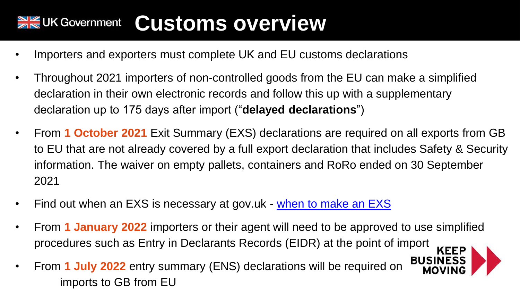### **Customs overview**  $\geq$   $\leq$  UK Government

- Importers and exporters must complete UK and EU customs declarations
- Throughout 2021 importers of non-controlled goods from the EU can make a simplified declaration in their own electronic records and follow this up with a supplementary declaration up to 175 days after import ("**delayed declarations**")
- From **1 October 2021** Exit Summary (EXS) declarations are required on all exports from GB to EU that are not already covered by a full export declaration that includes Safety & Security information. The waiver on empty pallets, containers and RoRo ended on 30 September 2021
- Find out when an EXS is necessary at gov.uk [when to make an EXS](https://www.gov.uk/guidance/find-out-when-to-make-an-exit-summary-declaration)
- From **1 January 2022** importers or their agent will need to be approved to use simplified procedures such as Entry in Declarants Records (EIDR) at the point of import **KEEP**
- **BUSINESS** • From **1 July 2022** entry summary (ENS) declarations will be required on imports to GB from EU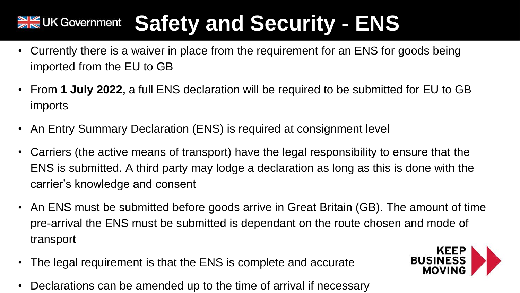### **Safety and Security - ENS** $\frac{N}{N}$ UK Government

- Currently there is a waiver in place from the requirement for an ENS for goods being imported from the EU to GB
- From **1 July 2022,** a full ENS declaration will be required to be submitted for EU to GB imports
- An Entry Summary Declaration (ENS) is required at consignment level
- Carriers (the active means of transport) have the legal responsibility to ensure that the ENS is submitted. A third party may lodge a declaration as long as this is done with the carrier's knowledge and consent
- An ENS must be submitted before goods arrive in Great Britain (GB). The amount of time pre-arrival the ENS must be submitted is dependant on the route chosen and mode of transport
- The legal requirement is that the ENS is complete and accurate
- Declarations can be amended up to the time of arrival if necessary

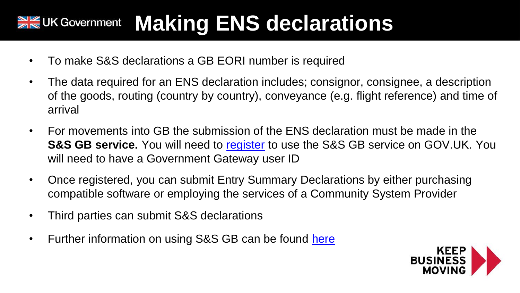### **Making ENS declarations** $\geq$  CUK Government

- To make S&S declarations a GB EORI number is required
- The data required for an ENS declaration includes; consignor, consignee, a description of the goods, routing (country by country), conveyance (e.g. flight reference) and time of arrival
- For movements into GB the submission of the ENS declaration must be made in the **S&S GB service.** You will need to [register](https://www.gov.uk/guidance/register-to-make-an-entry-summary-declaration-in-great-britain#how-to-register) to use the S&S GB service on GOV.UK. You will need to have a Government Gateway user ID
- Once registered, you can submit Entry Summary Declarations by either purchasing compatible software or employing the services of a Community System Provider
- Third parties can submit S&S declarations
- Further information on using S&S GB can be found [here](http://developer.service.hmrc.gov.uk/guides/safety-and-security-import-declarations-end-to-end-service-guide/#overview)

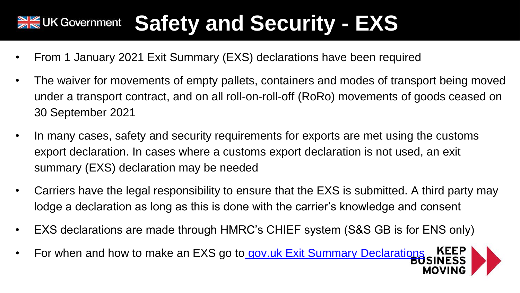### **Safety and Security - EXS** $\frac{N}{N}$ UK Government

- From 1 January 2021 Exit Summary (EXS) declarations have been required
- The waiver for movements of empty pallets, containers and modes of transport being moved under a transport contract, and on all roll-on-roll-off (RoRo) movements of goods ceased on 30 September 2021
- In many cases, safety and security requirements for exports are met using the customs export declaration. In cases where a customs export declaration is not used, an exit summary (EXS) declaration may be needed
- Carriers have the legal responsibility to ensure that the EXS is submitted. A third party may lodge a declaration as long as this is done with the carrier's knowledge and consent
- EXS declarations are made through HMRC's CHIEF system (S&S GB is for ENS only)
- For when and how to make an EXS go to [gov.uk Exit Summary Declarations](https://www.gov.uk/guidance/find-out-when-to-make-an-exit-summary-declaration) KEE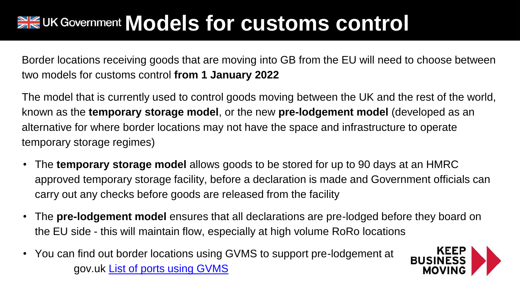## **ME UK Government Models for customs control**

Border locations receiving goods that are moving into GB from the EU will need to choose between two models for customs control **from 1 January 2022**

The model that is currently used to control goods moving between the UK and the rest of the world, known as the **temporary storage model**, or the new **pre-lodgement model** (developed as an alternative for where border locations may not have the space and infrastructure to operate temporary storage regimes)

- The **temporary storage model** allows goods to be stored for up to 90 days at an HMRC approved temporary storage facility, before a declaration is made and Government officials can carry out any checks before goods are released from the facility
- The **pre-lodgement model** ensures that all declarations are pre-lodged before they board on the EU side - this will maintain flow, especially at high volume RoRo locations
- You can find out border locations using GVMS to support pre-lodgement at gov.uk [List of ports using GVMS](https://www.gov.uk/guidance/list-of-ports-using-the-goods-vehicle-movement-service)

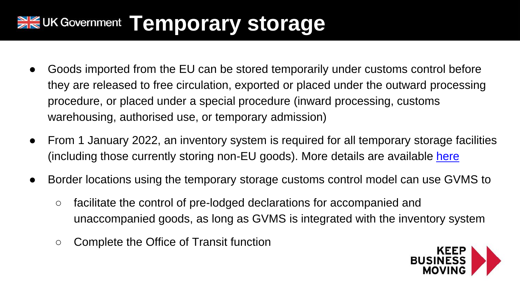## **XX UK Government Temporary storage**

- Goods imported from the EU can be stored temporarily under customs control before they are released to free circulation, exported or placed under the outward processing procedure, or placed under a special procedure (inward processing, customs warehousing, authorised use, or temporary admission)
- From 1 January 2022, an inventory system is required for all temporary storage facilities (including those currently storing non-EU goods). More details are available [here](https://www.gov.uk/guidance/temporary-storage)
- Border locations using the temporary storage customs control model can use GVMS to
	- facilitate the control of pre-lodged declarations for accompanied and unaccompanied goods, as long as GVMS is integrated with the inventory system
	- Complete the Office of Transit function

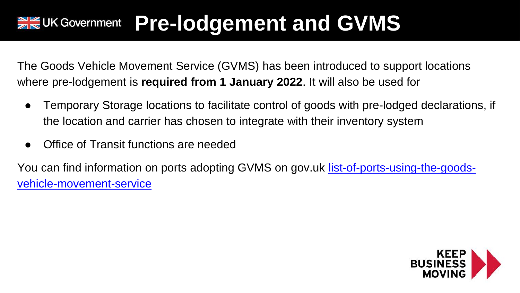## **PREUK Government Pre-lodgement and GVMS**

The Goods Vehicle Movement Service (GVMS) has been introduced to support locations where pre-lodgement is **required from 1 January 2022**. It will also be used for

- Temporary Storage locations to facilitate control of goods with pre-lodged declarations, if the location and carrier has chosen to integrate with their inventory system
- Office of Transit functions are needed

[You can find information on ports adopting GVMS on gov.uk](https://www.gov.uk/guidance/list-of-ports-using-the-goods-vehicle-movement-service) [l](https://www.gov.uk/guidance/list-of-ports-using-the-goods-vehicle-movement-service)ist-of-ports-using-the-goodsvehicle-movement-service

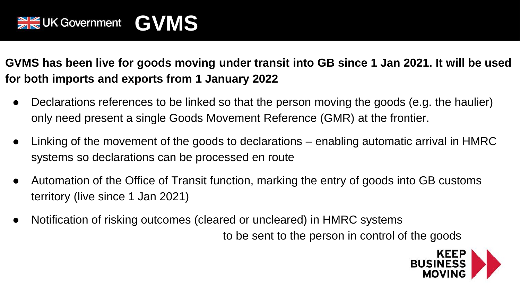**GVMS has been live for goods moving under transit into GB since 1 Jan 2021. It will be used for both imports and exports from 1 January 2022**

- Declarations references to be linked so that the person moving the goods (e.g. the haulier) only need present a single Goods Movement Reference (GMR) at the frontier.
- Linking of the movement of the goods to declarations enabling automatic arrival in HMRC systems so declarations can be processed en route
- Automation of the Office of Transit function, marking the entry of goods into GB customs territory (live since 1 Jan 2021)
- Notification of risking outcomes (cleared or uncleared) in HMRC systems

to be sent to the person in control of the goods

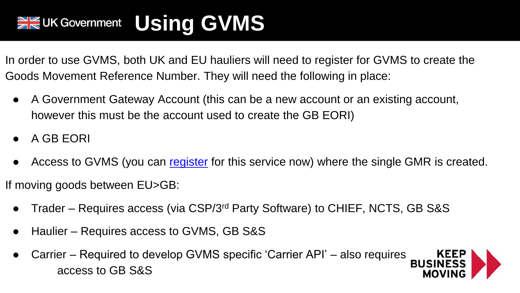## **WE UK Government** Using GVMS

In order to use GVMS, both UK and EU hauliers will need to register for GVMS to create the Goods Movement Reference Number. They will need the following in place:

- A Government Gateway Account (this can be a new account or an existing account, however this must be the account used to create the GB EORI)
- A GB EORI
- Access to GVMS (you can [register](https://eur03.safelinks.protection.outlook.com/?url=https%3A%2F%2Fwww.gov.uk%2Fguidance%2Fregister-for-the-goods-vehicle-movement-service&data=04%7C01%7Cpaul.earnshaw%40hmrc.gov.uk%7Ca697c7e6ef9f48bfee2308d89b6bc8fe%7Cac52f73cfd1a4a9a8e7a4a248f3139e1%7C0%7C0%7C637430234513560266%7CUnknown%7CTWFpbGZsb3d8eyJWIjoiMC4wLjAwMDAiLCJQIjoiV2luMzIiLCJBTiI6Ik1haWwiLCJXVCI6Mn0%3D%7C1000&sdata=q484X2jxhX862ObbXZNTs8qO4HXXRDolHhOuhevtTcU%3D&reserved=0) for this service now) where the single GMR is created.

If moving goods between EU>GB:

- Trader Requires access (via CSP/3<sup>rd</sup> Party Software) to CHIEF, NCTS, GB S&S
- Haulier Requires access to GVMS, GB S&S
- Carrier Required to develop GVMS specific 'Carrier API' also requires **KEEP**<br>BUSINESS access to GB S&S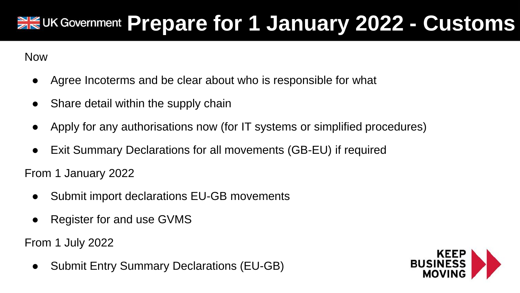## **PREUK Government Prepare for 1 January 2022 - Customs**

Now

- Agree Incoterms and be clear about who is responsible for what
- Share detail within the supply chain
- Apply for any authorisations now (for IT systems or simplified procedures)
- Exit Summary Declarations for all movements (GB-EU) if required

From 1 January 2022

- Submit import declarations EU-GB movements
- **Register for and use GVMS**

From 1 July 2022

● Submit Entry Summary Declarations (EU-GB)